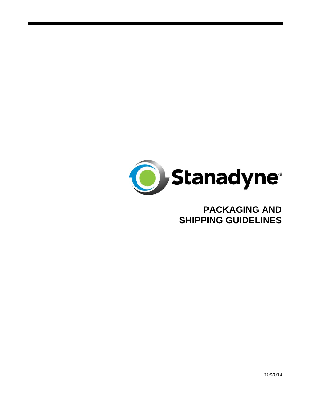

# **PACKAGING AND SHIPPING GUIDELINES**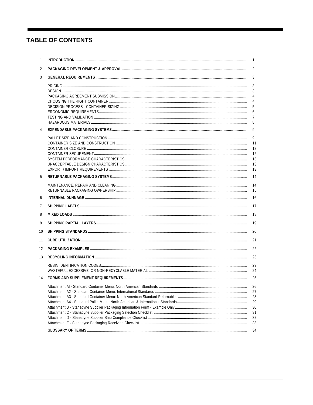# **TABLE OF CONTENTS**

| 1  | $\overline{1}$                                     |
|----|----------------------------------------------------|
| 2  | 2                                                  |
| 3  | 3                                                  |
|    | 3<br>3<br>$\overline{4}$<br>4<br>5<br>6<br>7<br>8  |
| 4  | 9                                                  |
|    | 9<br>11<br>12<br>12<br>13<br>13<br>13              |
| 5  | 14                                                 |
| 6  | 14<br>15<br>16                                     |
| 7  | 17                                                 |
| 8  | 18                                                 |
| 9  | 19                                                 |
| 10 | 20                                                 |
| 11 | 21                                                 |
| 12 | 22                                                 |
| 13 | 23                                                 |
|    | 23<br>24                                           |
| 14 | 25                                                 |
|    | 26<br>27<br>28<br>29<br>30<br>31<br>32<br>33<br>34 |
|    |                                                    |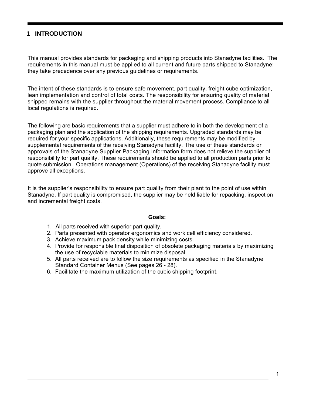# **1 INTRODUCTION**

This manual provides standards for packaging and shipping products into Stanadyne facilities. The requirements in this manual must be applied to all current and future parts shipped to Stanadyne; they take precedence over any previous guidelines or requirements.

The intent of these standards is to ensure safe movement, part quality, freight cube optimization, lean implementation and control of total costs. The responsibility for ensuring quality of material shipped remains with the supplier throughout the material movement process. Compliance to all local regulations is required.

The following are basic requirements that a supplier must adhere to in both the development of a packaging plan and the application of the shipping requirements. Upgraded standards may be required for your specific applications. Additionally, these requirements may be modified by supplemental requirements of the receiving Stanadyne facility. The use of these standards or approvals of the Stanadyne Supplier Packaging Information form does not relieve the supplier of responsibility for part quality. These requirements should be applied to all production parts prior to quote submission. Operations management (Operations) of the receiving Stanadyne facility must approve all exceptions.

It is the supplier's responsibility to ensure part quality from their plant to the point of use within Stanadyne. If part quality is compromised, the supplier may be held liable for repacking, inspection and incremental freight costs.

#### **Goals:**

- 1. All parts received with superior part quality.
- 2. Parts presented with operator ergonomics and work cell efficiency considered.
- 3. Achieve maximum pack density while minimizing costs.
- 4. Provide for responsible final disposition of obsolete packaging materials by maximizing the use of recyclable materials to minimize disposal.
- 5. All parts received are to follow the size requirements as specified in the Stanadyne Standard Container Menus (See pages 26 - 28).
- 6. Facilitate the maximum utilization of the cubic shipping footprint.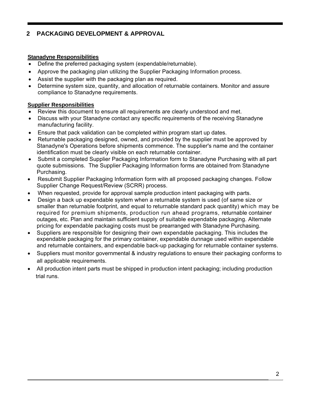# **2 PACKAGING DEVELOPMENT & APPROVAL**

### **Stanadyne Responsibilities**

- Define the preferred packaging system (expendable/returnable).
- Approve the packaging plan utilizing the Supplier Packaging Information process.
- Assist the supplier with the packaging plan as required.
- Determine system size, quantity, and allocation of returnable containers. Monitor and assure compliance to Stanadyne requirements.

### **Supplier Responsibilities**

- Review this document to ensure all requirements are clearly understood and met.
- Discuss with your Stanadyne contact any specific requirements of the receiving Stanadyne manufacturing facility.
- Ensure that pack validation can be completed within program start up dates.
- Returnable packaging designed, owned, and provided by the supplier must be approved by Stanadyne's Operations before shipments commence. The supplier's name and the container identification must be clearly visible on each returnable container.
- Submit a completed Supplier Packaging Information form to Stanadyne Purchasing with all part quote submissions. The Supplier Packaging Information forms are obtained from Stanadyne Purchasing.
- Resubmit Supplier Packaging Information form with all proposed packaging changes. Follow Supplier Change Request/Review (SCRR) process.
- When requested, provide for approval sample production intent packaging with parts.
- Design a back up expendable system when a returnable system is used (of same size or smaller than returnable footprint, and equal to returnable standard pack quantity) which may be required for premium shipments, production run ahead programs, returnable container outages, etc. Plan and maintain sufficient supply of suitable expendable packaging. Alternate pricing for expendable packaging costs must be prearranged with Stanadyne Purchasing.
- Suppliers are responsible for designing their own expendable packaging. This includes the expendable packaging for the primary container, expendable dunnage used within expendable and returnable containers, and expendable back-up packaging for returnable container systems.
- Suppliers must monitor governmental & industry regulations to ensure their packaging conforms to all applicable requirements.
- All production intent parts must be shipped in production intent packaging; including production trial runs.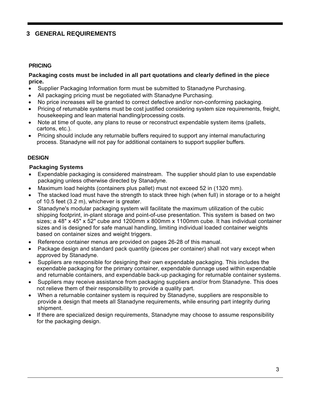# **3 GENERAL REQUIREMENTS**

#### **PRICING**

#### **Packaging costs must be included in all part quotations and clearly defined in the piece price.**

- Supplier Packaging Information form must be submitted to Stanadyne Purchasing.
- All packaging pricing must be negotiated with Stanadyne Purchasing.
- No price increases will be granted to correct defective and/or non-conforming packaging.
- Pricing of returnable systems must be cost justified considering system size requirements, freight, housekeeping and lean material handling/processing costs.
- Note at time of quote, any plans to reuse or reconstruct expendable system items (pallets, cartons, etc.).
- Pricing should include any returnable buffers required to support any internal manufacturing process. Stanadyne will not pay for additional containers to support supplier buffers.

### **DESIGN**

### **Packaging Systems**

- Expendable packaging is considered mainstream. The supplier should plan to use expendable packaging unless otherwise directed by Stanadyne.
- Maximum load heights (containers plus pallet) must not exceed 52 in (1320 mm).
- The stacked load must have the strength to stack three high (when full) in storage or to a height of 10.5 feet (3.2 m), whichever is greater.
- Stanadyne's modular packaging system will facilitate the maximum utilization of the cubic shipping footprint, in-plant storage and point-of-use presentation. This system is based on two sizes; a 48" x 45" x 52" cube and 1200mm x 800mm x 1100mm cube. It has individual container sizes and is designed for safe manual handling, limiting individual loaded container weights based on container sizes and weight triggers.
- Reference container menus are provided on pages 26-28 of this manual.
- Package design and standard pack quantity (pieces per container) shall not vary except when approved by Stanadyne.
- Suppliers are responsible for designing their own expendable packaging. This includes the expendable packaging for the primary container, expendable dunnage used within expendable and returnable containers, and expendable back-up packaging for returnable container systems.
- Suppliers may receive assistance from packaging suppliers and/or from Stanadyne. This does not relieve them of their responsibility to provide a quality part.
- When a returnable container system is required by Stanadyne, suppliers are responsible to provide a design that meets all Stanadyne requirements, while ensuring part integrity during shipment.
- If there are specialized design requirements, Stanadyne may choose to assume responsibility for the packaging design.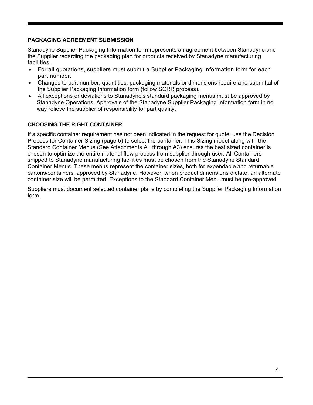### **PACKAGING AGREEMENT SUBMISSION**

Stanadyne Supplier Packaging Information form represents an agreement between Stanadyne and the Supplier regarding the packaging plan for products received by Stanadyne manufacturing facilities.

- For all quotations, suppliers must submit a Supplier Packaging Information form for each part number.
- Changes to part number, quantities, packaging materials or dimensions require a re-submittal of the Supplier Packaging Information form (follow SCRR process).
- All exceptions or deviations to Stanadyne's standard packaging menus must be approved by Stanadyne Operations. Approvals of the Stanadyne Supplier Packaging Information form in no way relieve the supplier of responsibility for part quality.

# **CHOOSING THE RIGHT CONTAINER**

If a specific container requirement has not been indicated in the request for quote, use the Decision Process for Container Sizing (page 5) to select the container. This Sizing model along with the Standard Container Menus (See Attachments A1 through A3) ensures the best sized container is chosen to optimize the entire material flow process from supplier through user. All Containers shipped to Stanadyne manufacturing facilities must be chosen from the Stanadyne Standard Container Menus. These menus represent the container sizes, both for expendable and returnable cartons/containers, approved by Stanadyne. However, when product dimensions dictate, an alternate container size will be permitted. Exceptions to the Standard Container Menu must be pre-approved.

Suppliers must document selected container plans by completing the Supplier Packaging Information form.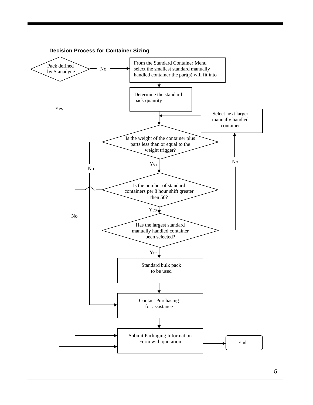

5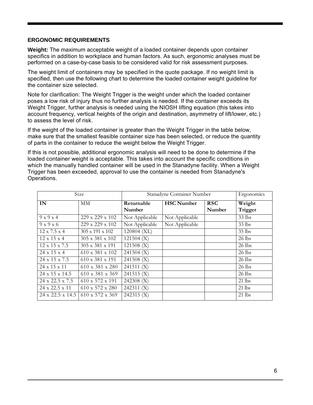#### **ERGONOMIC REQUIREMENTS**

**Weight:** The maximum acceptable weight of a loaded container depends upon container specifics in addition to workplace and human factors. As such, ergonomic analyses must be performed on a case-by-case basis to be considered valid for risk assessment purposes.

The weight limit of containers may be specified in the quote package. If no weight limit is specified, then use the following chart to determine the loaded container weight guideline for the container size selected.

Note for clarification: The Weight Trigger is the weight under which the loaded container poses a low risk of injury thus no further analysis is needed. If the container exceeds its Weight Trigger, further analysis is needed using the NIOSH lifting equation (this takes into account frequency, vertical heights of the origin and destination, asymmetry of lift/lower, etc.) to assess the level of risk.

If the weight of the loaded container is greater than the Weight Trigger in the table below, make sure that the smallest feasible container size has been selected, or reduce the quantity of parts in the container to reduce the weight below the Weight Trigger.

If this is not possible, additional ergonomic analysis will need to be done to determine if the loaded container weight is acceptable. This takes into account the specific conditions in which the manually handled container will be used in the Stanadyne facility. When a Weight Trigger has been exceeded, approval to use the container is needed from Stanadyne's Operations.

|                           | Size                        |                | Stanadyne Container Number |            | Ergonomics |
|---------------------------|-----------------------------|----------------|----------------------------|------------|------------|
| IN                        | MM                          | Returnable     | <b>HSC Number</b>          | <b>RSC</b> | Weight     |
|                           |                             | Number         |                            | Number     | Trigger    |
| $9 \times 9 \times 4$     | 229 x 229 x 102             | Not Applicable | Not Applicable             |            | $33$ lbs   |
| 9x9x6                     | 229 x 229 x 102             | Not Applicable | Not Applicable             |            | $33$ lbs   |
| $12 \times 7.5 \times 4$  | 305 x 191 x 102             | 120804 (XL)    |                            |            | $35$ lbs   |
| $12 \times 15 \times 4$   | $305 \times 381 \times 102$ | 121504 (X)     |                            |            | $26$ lbs   |
| $12 \times 15 \times 7.5$ | 305 x 381 x 191             | 121508 (X)     |                            |            | 26 Ibs     |
| 24 x 15 x 4               | 610 x 381 x 102             | $241504$ (X)   |                            |            | $26$ lbs   |
| 24 x 15 x 7.5             | $610 \times 381 \times 191$ | 241508 (X)     |                            |            | $26$ Ibs   |
| 24 x 15 x 11              | 610 x 381 x 280             | 241511 (X)     |                            |            | 26 lbs     |
| 24 x 15 x 14.5            | 610 x 381 x 369             | 241515 (X)     |                            |            | 26 Ibs     |
| 24 x 22.5 x 7.5           | $610 \times 572 \times 191$ | 242308 (X)     |                            |            | $21$ lbs   |
| 24 x 22.5 x 11            | 610 x 572 x 280             | 242311 (X)     |                            |            | $21$ lbs   |
| 24 x 22.5 x 14.5          | $610 \times 572 \times 369$ | 242315 (X)     |                            |            | 21 lbs     |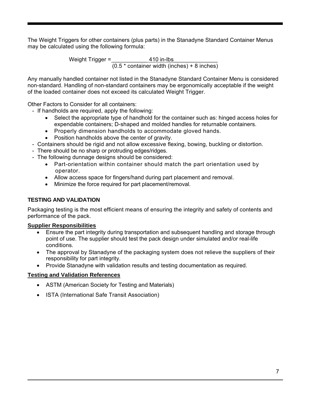The Weight Triggers for other containers (plus parts) in the Stanadyne Standard Container Menus may be calculated using the following formula:

> Weight Trigger =  $\underline{\hspace{1cm}}$  410 in-lbs (0.5 \* container width (inches) + 8 inches)

Any manually handled container not listed in the Stanadyne Standard Container Menu is considered non-standard. Handling of non-standard containers may be ergonomically acceptable if the weight of the loaded container does not exceed its calculated Weight Trigger.

Other Factors to Consider for all containers:

- If handholds are required, apply the following:
	- Select the appropriate type of handhold for the container such as: hinged access holes for expendable containers; D-shaped and molded handles for returnable containers.
	- Properly dimension handholds to accommodate gloved hands.
	- Position handholds above the center of gravity.
- Containers should be rigid and not allow excessive flexing, bowing, buckling or distortion.
- There should be no sharp or protruding edges/ridges.
- The following dunnage designs should be considered:
	- Part-orientation within container should match the part orientation used by operator.
	- Allow access space for fingers/hand during part placement and removal.
	- Minimize the force required for part placement/removal.

### **TESTING AND VALIDATION**

Packaging testing is the most efficient means of ensuring the integrity and safety of contents and performance of the pack.

#### **Supplier Responsibilities**

- Ensure the part integrity during transportation and subsequent handling and storage through point of use. The supplier should test the pack design under simulated and/or real-life conditions.
- The approval by Stanadyne of the packaging system does not relieve the suppliers of their responsibility for part integrity.
- Provide Stanadyne with validation results and testing documentation as required.

#### **Testing and Validation References**

- ASTM (American Society for Testing and Materials)
- ISTA (International Safe Transit Association)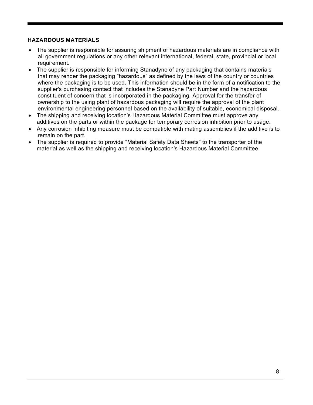### **HAZARDOUS MATERIALS**

- The supplier is responsible for assuring shipment of hazardous materials are in compliance with all government regulations or any other relevant international, federal, state, provincial or local requirement.
- The supplier is responsible for informing Stanadyne of any packaging that contains materials that may render the packaging "hazardous" as defined by the laws of the country or countries where the packaging is to be used. This information should be in the form of a notification to the supplier's purchasing contact that includes the Stanadyne Part Number and the hazardous constituent of concern that is incorporated in the packaging. Approval for the transfer of ownership to the using plant of hazardous packaging will require the approval of the plant environmental engineering personnel based on the availability of suitable, economical disposal.
- The shipping and receiving location's Hazardous Material Committee must approve any additives on the parts or within the package for temporary corrosion inhibition prior to usage.
- Any corrosion inhibiting measure must be compatible with mating assemblies if the additive is to remain on the part.
- The supplier is required to provide "Material Safety Data Sheets" to the transporter of the material as well as the shipping and receiving location's Hazardous Material Committee.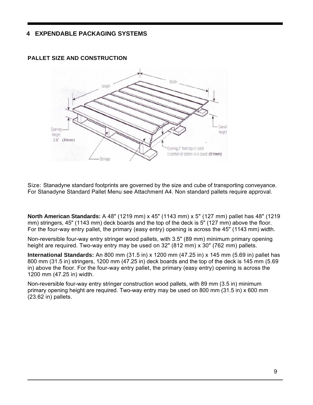# **4 EXPENDABLE PACKAGING SYSTEMS**



#### **PALLET SIZE AND CONSTRUCTION**

Size: Stanadyne standard footprints are governed by the size and cube of transporting conveyance. For Stanadyne Standard Pallet Menu see Attachment A4. Non standard pallets require approval.

**North American Standards:** A 48" (1219 mm) x 45" (1143 mm) x 5" (127 mm) pallet has 48" (1219 mm) stringers, 45" (1143 mm) deck boards and the top of the deck is 5" (127 mm) above the floor. For the four-way entry pallet, the primary (easy entry) opening is across the 45" (1143 mm) width.

Non-reversible four-way entry stringer wood pallets, with 3.5" (89 mm) minimum primary opening height are required. Two-way entry may be used on 32" (812 mm) x 30" (762 mm) pallets.

**International Standards:** An 800 mm (31.5 in) x 1200 mm (47.25 in) x 145 mm (5.69 in) pallet has 800 mm (31.5 in) stringers, 1200 mm (47.25 in) deck boards and the top of the deck is 145 mm (5.69 in) above the floor. For the four-way entry pallet, the primary (easy entry) opening is across the 1200 mm (47.25 in) width.

Non-reversible four-way entry stringer construction wood pallets, with 89 mm (3.5 in) minimum primary opening height are required. Two-way entry may be used on 800 mm (31.5 in) x 600 mm (23.62 in) pallets.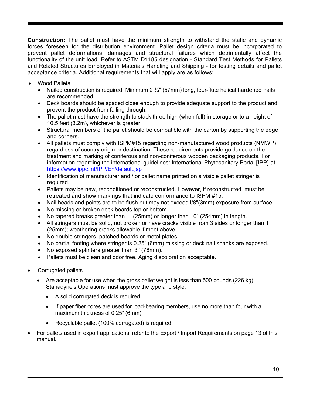**Construction:** The pallet must have the minimum strength to withstand the static and dynamic forces foreseen for the distribution environment. Pallet design criteria must be incorporated to prevent pallet deformations, damages and structural failures which detrimentally affect the functionality of the unit load. Refer to ASTM D1185 designation - Standard Test Methods for Pallets and Related Structures Employed in Materials Handling and Shipping - for testing details and pallet acceptance criteria. Additional requirements that will apply are as follows:

- Wood Pallets
	- Nailed construction is required. Minimum 2  $\frac{1}{4}$ " (57mm) long, four-flute helical hardened nails are recommended.
	- Deck boards should be spaced close enough to provide adequate support to the product and prevent the product from falling through.
	- The pallet must have the strength to stack three high (when full) in storage or to a height of 10.5 feet (3.2m), whichever is greater.
	- Structural members of the pallet should be compatible with the carton by supporting the edge and corners.
	- All pallets must comply with ISPM#15 regarding non-manufactured wood products (NMWP) regardless of country origin or destination. These requirements provide guidance on the treatment and marking of coniferous and non-coniferous wooden packaging products. For information regarding the international guidelines: International Phytosanitary Portal [IPP] at https://www.ippc.int/IPP/En/default.jsp
	- Identification of manufacturer and / or pallet name printed on a visible pallet stringer is required.
	- Pallets may be new, reconditioned or reconstructed. However, if reconstructed, must be retreated and show markings that indicate conformance to ISPM #15.
	- Nail heads and points are to be flush but may not exceed l/8"(3mm) exposure from surface.
	- No missing or broken deck boards top or bottom.
	- No tapered breaks greater than 1" (25mm) or longer than 10" (254mm) in length.
	- All stringers must be solid, not broken or have cracks visible from 3 sides or longer than 1 (25mm); weathering cracks allowable if meet above.
	- No double stringers, patched boards or metal plates.
	- No partial footing where stringer is 0.25" (6mm) missing or deck nail shanks are exposed.
	- No exposed splinters greater than 3" (76mm).
	- Pallets must be clean and odor free. Aging discoloration acceptable.
- Corrugated pallets
	- Are acceptable for use when the gross pallet weight is less than 500 pounds (226 kg). Stanadyne's Operations must approve the type and style.
		- A solid corrugated deck is required.
		- If paper fiber cores are used for load-bearing members, use no more than four with a maximum thickness of 0.25" (6mm).
		- Recyclable pallet (100% corrugated) is required.
- For pallets used in export applications, refer to the Export / Import Requirements on page 13 of this manual.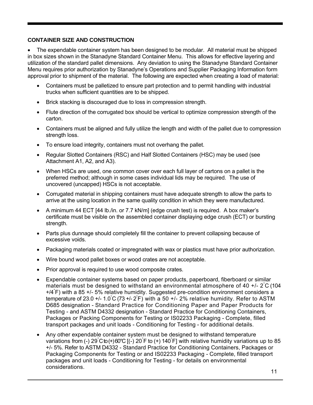### **CONTAINER SIZE AND CONSTRUCTION**

 The expendable container system has been designed to be modular. All material must be shipped in box sizes shown in the Stanadyne Standard Container Menu. This allows for effective layering and utilization of the standard pallet dimensions. Any deviation to using the Stanadyne Standard Container Menu requires prior authorization by Stanadyne's Operations and Supplier Packaging Information form approval prior to shipment of the material. The following are expected when creating a load of material:

- Containers must be palletized to ensure part protection and to permit handling with industrial trucks when sufficient quantities are to be shipped.
- Brick stacking is discouraged due to loss in compression strength.
- Flute direction of the corrugated box should be vertical to optimize compression strength of the carton.
- Containers must be aligned and fully utilize the length and width of the pallet due to compression strength loss.
- To ensure load integrity, containers must not overhang the pallet.
- Regular Slotted Containers (RSC) and Half Slotted Containers (HSC) may be used (see Attachment A1, A2, and A3).
- When HSCs are used, one common cover over each full layer of cartons on a pallet is the preferred method; although in some cases individual lids may be required. The use of uncovered (uncapped) HSCs is not acceptable.
- Corrugated material in shipping containers must have adequate strength to allow the parts to arrive at the using location in the same quality condition in which they were manufactured.
- A minimum 44 ECT [44 lb./in. or 7.7 kN/m] (edge crush test) is required. A box maker's certificate must be visible on the assembled container displaying edge crush (ECT) or bursting strength.
- Parts plus dunnage should completely fill the container to prevent collapsing because of excessive voids.
- Packaging materials coated or impregnated with wax or plastics must have prior authorization.
- Wire bound wood pallet boxes or wood crates are not acceptable.
- Prior approval is required to use wood composite crates.
- Expendable container systems based on paper products, paperboard, fiberboard or similar materials must be designed to withstand an environmental atmosphere of 40 +/-  $2^{\circ}$ C (104 +/4° F) with a 85 +/- 5% relative humidity. Suggested pre-condition environment considers a temperature of 23.0 +/- 1.0  $\textdegree$  (73 +/- 2  $\textdegree$  ) with a 50 +/- 2% relative humidity. Refer to ASTM D685 designation - Standard Practice for Conditioning Paper and Paper Products for Testing - and ASTM D4332 designation - Standard Practice for Conditioning Containers, Packages or Packing Components for Testing or IS02233 Packaging - Complete, filled transport packages and unit loads - Conditioning for Testing - for additional details.
- Any other expendable container system must be designed to withstand temperature variations from (-) 29 C to (+) 60°C [(-) 20 F to (+) 140 F] with relative humidity variations up to 85 +/- 5%. Refer to ASTM D4332 - Standard Practice for Conditioning Containers, Packages or Packaging Components for Testing or and IS02233 Packaging - Complete, filled transport packages and unit loads - Conditioning for Testing - for details on environmental considerations.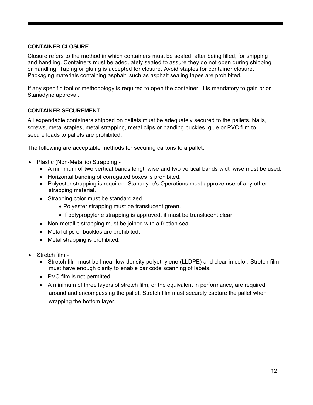### **CONTAINER CLOSURE**

Closure refers to the method in which containers must be sealed, after being filled, for shipping and handling. Containers must be adequately sealed to assure they do not open during shipping or handling. Taping or gluing is accepted for closure. Avoid staples for container closure. Packaging materials containing asphalt, such as asphalt sealing tapes are prohibited.

If any specific tool or methodology is required to open the container, it is mandatory to gain prior Stanadyne approval.

### **CONTAINER SECUREMENT**

All expendable containers shipped on pallets must be adequately secured to the pallets. Nails, screws, metal staples, metal strapping, metal clips or banding buckles, glue or PVC film to secure loads to pallets are prohibited.

The following are acceptable methods for securing cartons to a pallet:

- Plastic (Non-Metallic) Strapping
	- A minimum of two vertical bands lengthwise and two vertical bands widthwise must be used.
	- Horizontal banding of corrugated boxes is prohibited.
	- Polyester strapping is required. Stanadyne's Operations must approve use of any other strapping material.
	- Strapping color must be standardized.
		- Polyester strapping must be translucent green.
		- If polypropylene strapping is approved, it must be translucent clear.
	- Non-metallic strapping must be joined with a friction seal.
	- Metal clips or buckles are prohibited.
	- Metal strapping is prohibited.
- Stretch film
	- Stretch film must be linear low-density polyethylene (LLDPE) and clear in color. Stretch film must have enough clarity to enable bar code scanning of labels.
	- PVC film is not permitted.
	- A minimum of three layers of stretch film, or the equivalent in performance, are required around and encompassing the pallet. Stretch film must securely capture the pallet when wrapping the bottom layer.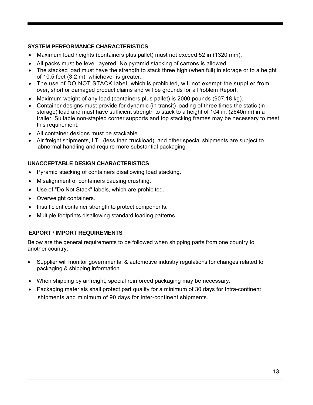# **SYSTEM PERFORMANCE CHARACTERISTICS**

- Maximum load heights (containers plus pallet) must not exceed 52 in (1320 mm).
- All packs must be level layered. No pyramid stacking of cartons is allowed.
- The stacked load must have the strength to stack three high (when full) in storage or to a height of 10.5 feet (3.2 m), whichever is greater.
- The use of DO NOT STACK label, which is prohibited, will not exempt the supplier from over, short or damaged product claims and will be grounds for a Problem Report.
- Maximum weight of any load (containers plus pallet) is 2000 pounds (907.18 kg).
- Container designs must provide for dynamic (in transit) loading of three times the static (in storage) load and must have sufficient strength to stack to a height of 104 in. (2640mm) in a trailer. Suitable non-stapled corner supports and top stacking frames may be necessary to meet this requirement.
- All container designs must be stackable.
- Air freight shipments, LTL (less than truckload), and other special shipments are subject to abnormal handling and require more substantial packaging.

# **UNACCEPTABLE DESIGN CHARACTERISTICS**

- Pyramid stacking of containers disallowing load stacking.
- Misalignment of containers causing crushing.
- Use of "Do Not Stack" labels, which are prohibited.
- Overweight containers.
- Insufficient container strength to protect components.
- Multiple footprints disallowing standard loading patterns.

### **EXPORT** / **IMPORT REQUIREMENTS**

Below are the general requirements to be followed when shipping parts from one country to another country:

- Supplier will monitor governmental & automotive industry regulations for changes related to packaging & shipping information.
- When shipping by airfreight, special reinforced packaging may be necessary.
- Packaging materials shall protect part quality for a minimum of 30 days for Intra-continent shipments and minimum of 90 days for Inter-continent shipments.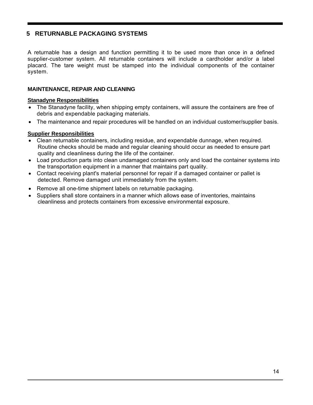# **5 RETURNABLE PACKAGING SYSTEMS**

A returnable has a design and function permitting it to be used more than once in a defined supplier-customer system. All returnable containers will include a cardholder and/or a label placard. The tare weight must be stamped into the individual components of the container system.

#### **MAINTENANCE, REPAIR AND CLEANING**

#### **Stanadyne Responsibilities**

- The Stanadyne facility, when shipping empty containers, will assure the containers are free of debris and expendable packaging materials.
- The maintenance and repair procedures will be handled on an individual customer/supplier basis.

#### **Supplier Responsibilities**

- Clean returnable containers, including residue, and expendable dunnage, when required. Routine checks should be made and regular cleaning should occur as needed to ensure part quality and cleanliness during the life of the container.
- Load production parts into clean undamaged containers only and load the container systems into the transportation equipment in a manner that maintains part quality.
- Contact receiving plant's material personnel for repair if a damaged container or pallet is detected. Remove damaged unit immediately from the system.
- Remove all one-time shipment labels on returnable packaging.
- Suppliers shall store containers in a manner which allows ease of inventories, maintains cleanliness and protects containers from excessive environmental exposure.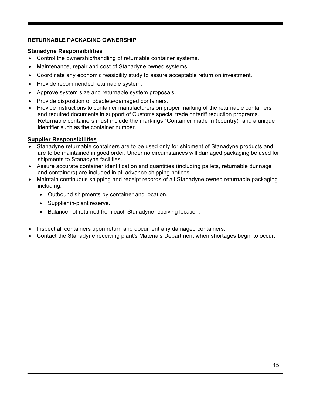### **RETURNABLE PACKAGING OWNERSHIP**

### **Stanadyne Responsibilities**

- Control the ownership/handling of returnable container systems.
- Maintenance, repair and cost of Stanadyne owned systems.
- Coordinate any economic feasibility study to assure acceptable return on investment.
- Provide recommended returnable system.
- Approve system size and returnable system proposals.
- Provide disposition of obsolete/damaged containers.
- Provide instructions to container manufacturers on proper marking of the returnable containers and required documents in support of Customs special trade or tariff reduction programs. Returnable containers must include the markings "Container made in (country)" and a unique identifier such as the container number.

### **Supplier Responsibilities**

- Stanadyne returnable containers are to be used only for shipment of Stanadyne products and are to be maintained in good order. Under no circumstances will damaged packaging be used for shipments to Stanadyne facilities.
- Assure accurate container identification and quantities (including pallets, returnable dunnage and containers) are included in all advance shipping notices.
- Maintain continuous shipping and receipt records of all Stanadyne owned returnable packaging including:
	- Outbound shipments by container and location.
	- Supplier in-plant reserve.
	- Balance not returned from each Stanadyne receiving location.
- Inspect all containers upon return and document any damaged containers.
- Contact the Stanadyne receiving plant's Materials Department when shortages begin to occur.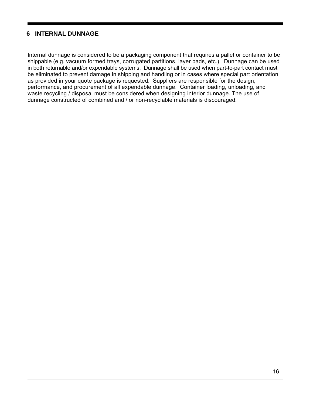# **6 INTERNAL DUNNAGE**

Internal dunnage is considered to be a packaging component that requires a pallet or container to be shippable (e.g. vacuum formed trays, corrugated partitions, layer pads, etc.). Dunnage can be used in both returnable and/or expendable systems. Dunnage shall be used when part-to-part contact must be eliminated to prevent damage in shipping and handling or in cases where special part orientation as provided in your quote package is requested. Suppliers are responsible for the design, performance, and procurement of all expendable dunnage. Container loading, unloading, and waste recycling / disposal must be considered when designing interior dunnage. The use of dunnage constructed of combined and / or non-recyclable materials is discouraged.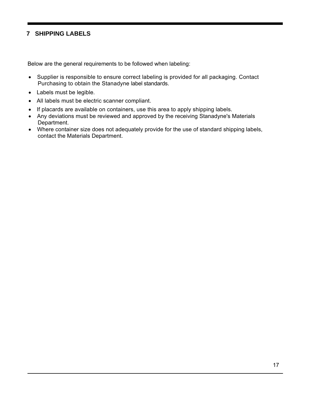# **7 SHIPPING LABELS**

Below are the general requirements to be followed when labeling:

- Supplier is responsible to ensure correct labeling is provided for all packaging. Contact Purchasing to obtain the Stanadyne label standards.
- Labels must be legible.
- All labels must be electric scanner compliant.
- If placards are available on containers, use this area to apply shipping labels.
- Any deviations must be reviewed and approved by the receiving Stanadyne's Materials Department.
- Where container size does not adequately provide for the use of standard shipping labels, contact the Materials Department.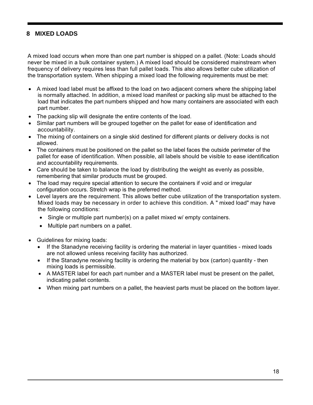# **8 MIXED LOADS**

A mixed load occurs when more than one part number is shipped on a pallet. (Note: Loads should never be mixed in a bulk container system.) A mixed load should be considered mainstream when frequency of delivery requires less than full pallet loads. This also allows better cube utilization of the transportation system. When shipping a mixed load the following requirements must be met:

- A mixed load label must be affixed to the load on two adjacent corners where the shipping label is normally attached. In addition, a mixed load manifest or packing slip must be attached to the load that indicates the part numbers shipped and how many containers are associated with each part number.
- The packing slip will designate the entire contents of the load.
- Similar part numbers will be grouped together on the pallet for ease of identification and accountability.
- The mixing of containers on a single skid destined for different plants or delivery docks is not allowed.
- The containers must be positioned on the pallet so the label faces the outside perimeter of the pallet for ease of identification. When possible, all labels should be visible to ease identification and accountability requirements.
- Care should be taken to balance the load by distributing the weight as evenly as possible, remembering that similar products must be grouped.
- The load may require special attention to secure the containers if void and or irregular configuration occurs. Stretch wrap is the preferred method.
- Level layers are the requirement. This allows better cube utilization of the transportation system. Mixed loads may be necessary in order to achieve this condition. A " mixed load" may have the following conditions:
	- Single or multiple part number(s) on a pallet mixed w/ empty containers.
	- Multiple part numbers on a pallet.
- Guidelines for mixing loads:
	- If the Stanadyne receiving facility is ordering the material in layer quantities mixed loads are not allowed unless receiving facility has authorized.
	- If the Stanadyne receiving facility is ordering the material by box (carton) quantity then mixing loads is permissible.
	- A MASTER label for each part number and a MASTER label must be present on the pallet, indicating pallet contents.
	- When mixing part numbers on a pallet, the heaviest parts must be placed on the bottom layer.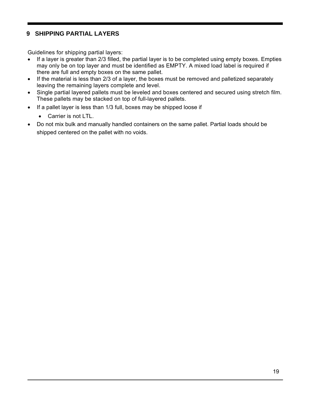# **9 SHIPPING PARTIAL LAYERS**

Guidelines for shipping partial layers:

- If a layer is greater than 2/3 filled, the partial layer is to be completed using empty boxes. Empties may only be on top layer and must be identified as EMPTY. A mixed load label is required if there are full and empty boxes on the same pallet.
- If the material is less than 2/3 of a layer, the boxes must be removed and palletized separately leaving the remaining layers complete and level.
- Single partial layered pallets must be leveled and boxes centered and secured using stretch film. These pallets may be stacked on top of full-layered pallets.
- If a pallet layer is less than 1/3 full, boxes may be shipped loose if
	- Carrier is not LTL.
- Do not mix bulk and manually handled containers on the same pallet. Partial loads should be shipped centered on the pallet with no voids.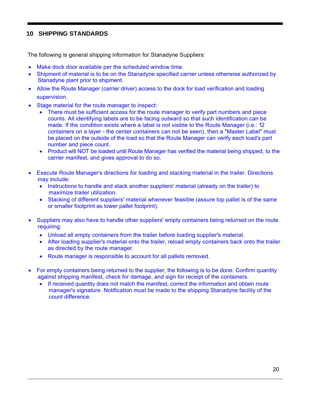# **10 SHIPPING STANDARDS**

The following is general shipping information for Stanadyne Suppliers:

- Make dock door available per the scheduled window time.
- Shipment of material is to be on the Stanadyne specified carrier unless otherwise authorized by Stanadyne plant prior to shipment.
- Allow the Route Manager (carrier driver) access to the dock for load verification and loading supervision.
- Stage material for the route manager to inspect:
	- There must be sufficient access for the route manager to verify part numbers and piece counts. All identifying labels are to be facing outward so that such identification can be made. If the condition exists where a label is not visible to the Route Manager (i.e.: 12 containers on a layer - the center containers can not be seen), then a "Master Label" must be placed on the outside of the load so that the Route Manager can verify each load's part number and piece count.
	- Product will NOT be loaded until Route Manager has verified the material being shipped, to the carrier manifest, and gives approval to do so.
- Execute Route Manager's directions for loading and stacking material in the trailer. Directions may include:
	- Instructions to handle and stack another suppliers' material (already on the trailer) to maximize trailer utilization.
	- Stacking of different suppliers' material whenever feasible (assure top pallet is of the same or smaller footprint as lower pallet footprint).
- Suppliers may also have to handle other suppliers' empty containers being returned on the route requiring:
	- Unload all empty containers from the trailer before loading supplier's material.
	- After loading supplier's material onto the trailer, reload empty containers back onto the trailer as directed by the route manager.
	- Route manager is responsible to account for all pallets removed.
- For empty containers being returned to the supplier, the following is to be done: Confirm quantity against shipping manifest, check for damage, and sign for receipt of the containers.
	- If received quantity does not match the manifest, correct the information and obtain route manager's signature. Notification must be made to the shipping Stanadyne facility of the count difference.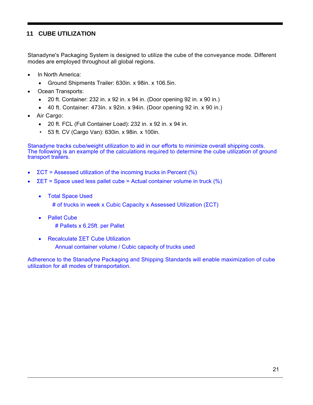# **11 CUBE UTILIZATION**

Stanadyne's Packaging System is designed to utilize the cube of the conveyance mode. Different modes are employed throughout all global regions.

- In North America:
	- Ground Shipments Trailer: 630in. x 98in. x 106.5in.
- Ocean Transports:
	- $\bullet$  20 ft. Container: 232 in. x 92 in. x 94 in. (Door opening 92 in. x 90 in.)
	- 40 ft. Container: 473in. x 92in. x 94in. (Door opening 92 in. x 90 in.)
- Air Cargo:
	- 20 ft. FCL (Full Container Load): 232 in. x 92 in. x 94 in.
	- 53 ft. CV (Cargo Van): 630in. x 98in. x 100in.

Stanadyne tracks cube/weight utilization to aid in our efforts to minimize overall shipping costs. The following is an example of the calculations required to determine the cube utilization of ground transport trailers.

- ΣCT = Assessed utilization of the incoming trucks in Percent (%)
- ΣET = Space used less pallet cube = Actual container volume in truck (%)
	- Total Space Used

# of trucks in week x Cubic Capacity x Assessed Utilization (ΣCT)

- Pallet Cube # Pallets x 6.25ft. per Pallet
- Recalculate ΣET Cube Utilization Annual container volume / Cubic capacity of trucks used

Adherence to the Stanadyne Packaging and Shipping Standards will enable maximization of cube utilization for all modes of transportation.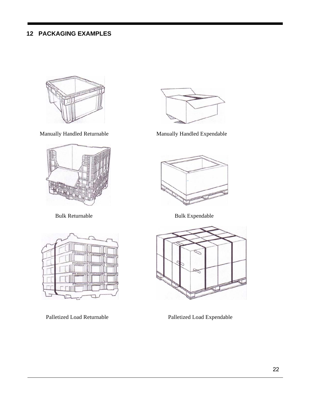# **12 PACKAGING EXAMPLES**









Manually Handled Returnable Manually Handled Expendable



Bulk Returnable Bulk Expendable



Palletized Load Returnable Palletized Load Expendable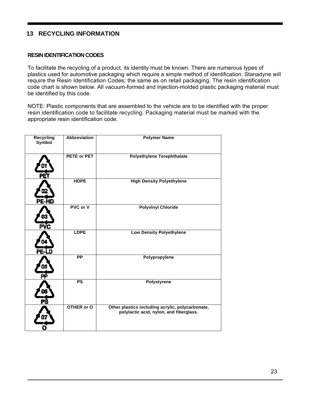# **13 RECYCLING INFORMATION**

#### **RESIN IDENTIFICATION CODES**

To facilitate the recycling of a product, its identity must be known. There are numerous types of plastics used for automotive packaging which require a simple method of identification. Stanadyne will require the Resin Identification Codes; the same as on retail packaging. The resin identification code chart is shown below. All vacuum-formed and injection-molded plastic packaging material must be identified by this code.

NOTE: Plastic components that are assembled to the vehicle are to be identified with the proper resin identification code to facilitate recycling. Packaging material must be marked with the appropriate resin identification code.

| <b>Recycling</b><br>Symbol | <b>Abbreviation</b> | <b>Polymer Name</b>                                                                         |
|----------------------------|---------------------|---------------------------------------------------------------------------------------------|
|                            | PETE or PET         | <b>Polyethylene Terephthalate</b>                                                           |
| PE-HD                      | <b>HDPE</b>         | <b>High Density Polyethylene</b>                                                            |
| PVC                        | PVC or V            | <b>Polyvinyl Chloride</b>                                                                   |
| PE-LD                      | <b>LDPE</b>         | <b>Low Density Polyethylene</b>                                                             |
| РĖ                         | $\overline{PP}$     | Polypropylene                                                                               |
|                            | $\overline{PS}$     | <b>Polystyrene</b>                                                                          |
|                            | OTHER or O          | Other plastics including acrylic, polycarbonate,<br>polylactic acid, nylon, and fiberglass. |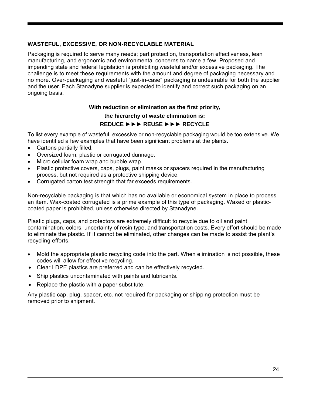### **WASTEFUL, EXCESSIVE, OR NON-RECYCLABLE MATERIAL**

Packaging is required to serve many needs; part protection, transportation effectiveness, lean manufacturing, and ergonomic and environmental concerns to name a few. Proposed and impending state and federal legislation is prohibiting wasteful and/or excessive packaging. The challenge is to meet these requirements with the amount and degree of packaging necessary and no more. Over-packaging and wasteful "just-in-case" packaging is undesirable for both the supplier and the user. Each Stanadyne supplier is expected to identify and correct such packaging on an ongoing basis.

#### **With reduction or elimination as the first priority,**

#### **the hierarchy of waste elimination is:**

### **REDUCE** ►►► **REUSE** ►►► **RECYCLE**

To list every example of wasteful, excessive or non-recyclable packaging would be too extensive. We have identified a few examples that have been significant problems at the plants.

- Cartons partially filled.
- Oversized foam, plastic or corrugated dunnage.
- Micro cellular foam wrap and bubble wrap.
- Plastic protective covers, caps, plugs, paint masks or spacers required in the manufacturing process, but not required as a protective shipping device.
- Corrugated carton test strength that far exceeds requirements.

Non-recyclable packaging is that which has no available or economical system in place to process an item. Wax-coated corrugated is a prime example of this type of packaging. Waxed or plasticcoated paper is prohibited, unless otherwise directed by Stanadyne.

Plastic plugs, caps, and protectors are extremely difficult to recycle due to oil and paint contamination, colors, uncertainty of resin type, and transportation costs. Every effort should be made to eliminate the plastic. If it cannot be eliminated, other changes can be made to assist the plant's recycling efforts.

- Mold the appropriate plastic recycling code into the part. When elimination is not possible, these codes will allow for effective recycling.
- Clear LDPE plastics are preferred and can be effectively recycled.
- Ship plastics uncontaminated with paints and lubricants.
- Replace the plastic with a paper substitute.

Any plastic cap, plug, spacer, etc. not required for packaging or shipping protection must be removed prior to shipment.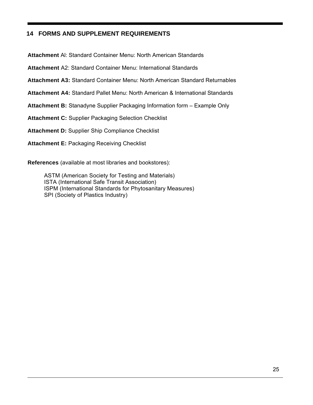# **14 FORMS AND SUPPLEMENT REQUIREMENTS**

**Attachment** Al: Standard Container Menu: North American Standards

**Attachment** A2: Standard Container Menu: International Standards

**Attachment A3:** Standard Container Menu: North American Standard Returnables

**Attachment A4:** Standard Pallet Menu: North American & International Standards

**Attachment B:** Stanadyne Supplier Packaging Information form – Example Only

**Attachment C:** Supplier Packaging Selection Checklist

**Attachment D:** Supplier Ship Compliance Checklist

**Attachment E:** Packaging Receiving Checklist

**References** (available at most libraries and bookstores):

ASTM (American Society for Testing and Materials) ISTA (International Safe Transit Association) ISPM (International Standards for Phytosanitary Measures) SPI (Society of Plastics Industry)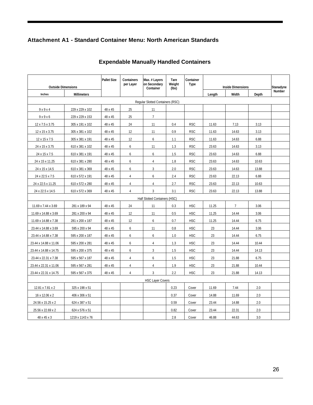# **Attachment A1 - Standard Container Menu: North American Standards**

|                           |                  | <b>Pallet Size</b> | Containers<br>per Layer | Max. # Layers<br>on Secondary    | Tare<br>Weight | Container<br>Type |        |                          |       |                     |
|---------------------------|------------------|--------------------|-------------------------|----------------------------------|----------------|-------------------|--------|--------------------------|-------|---------------------|
| <b>Outside Dimensions</b> |                  |                    |                         | Container                        | (lbs)          |                   |        | <b>Inside Dimensions</b> |       | Stanadyne<br>Number |
| Inches                    | Millimeters      |                    |                         |                                  |                |                   | Length | Width                    | Depth |                     |
|                           |                  |                    |                         | Regular Slotted Containers (RSC) |                |                   |        |                          |       |                     |
| 9x9x4                     | 229 x 229 x 102  | 48 x 45            | 25                      | 11                               |                |                   |        |                          |       |                     |
| 9x9x6                     | 229 x 229 x 153  | 48 x 45            | 25                      | $7\overline{ }$                  |                |                   |        |                          |       |                     |
| 12 x 7.5 x 3.75           | 305 x 191 x 102  | 48 x 45            | 24                      | 11                               | 0.4            | <b>RSC</b>        | 11.63  | 7.13                     | 3.13  |                     |
| 12 x 15 x 3.75            | 305 x 381 x 102  | 48 x 45            | 12                      | 11                               | 0.9            | <b>RSC</b>        | 11.63  | 14.63                    | 3.13  |                     |
| 12 x 15 x 7.5             | 305 x 381 x 191  | 48 x 45            | 12                      | 6                                | 1.1            | <b>RSC</b>        | 11.63  | 14.63                    | 6.88  |                     |
| 24 x 15 x 3.75            | 610 x 381 x 102  | 48 x 45            | 6                       | 11                               | 1.3            | <b>RSC</b>        | 23.63  | 14.63                    | 3.13  |                     |
| 24 x 15 x 7.5             | 610 x 381 x 191  | 48 x 45            | 6                       | 6                                | 1.5            | <b>RSC</b>        | 23.63  | 14.63                    | 6.88  |                     |
| 24 x 15 x 11.25           | 610 x 381 x 280  | 48 x 45            | 6                       | $\overline{4}$                   | 1.8            | <b>RSC</b>        | 23.63  | 14.63                    | 10.63 |                     |
| 24 x 15 x 14.5            | 610 x 381 x 369  | 48 x 45            | 6                       | $\mathbf{3}$                     | 2.0            | <b>RSC</b>        | 23.63  | 14.63                    | 13.88 |                     |
| 24 x 22.5 x 7.5           | 610 x 572 x 191  | 48 x 45            | $\overline{4}$          | 6                                | 2.4            | <b>RSC</b>        | 23.63  | 22.13                    | 6.88  |                     |
| 24 x 22.5 x 11.25         | 610 x 572 x 280  | 48 x 45            | $\overline{4}$          | $\overline{4}$                   | 2.7            | <b>RSC</b>        | 23.63  | 22.13                    | 10.63 |                     |
| 24 x 22.5 x 14.5          | 610 x 572 x 369  | 48 x 45            | $\overline{4}$          | $\overline{3}$                   | 3.1            | <b>RSC</b>        | 23.63  | 22.13                    | 13.88 |                     |
|                           |                  |                    |                         | Half Slotted Containers (HSC)    |                |                   |        |                          |       |                     |
| 11.69 x 7.44 x 3.69       | 281 x 189 x 94   | 48 x 45            | 24                      | 11                               | 0.3            | <b>HSC</b>        | 11.25  | $\overline{7}$           | 3.06  |                     |
| 11.69 x 14.88 x 3.69      | 281 x 200 x 94   | 48 x 45            | 12                      | 11                               | 0.5            | <b>HSC</b>        | 11.25  | 14.44                    | 3.06  |                     |
| 11.69 x 14.88 x 7.38      | 281 x 200 x 187  | 48 x 45            | 12                      | 6                                | 0.7            | <b>HSC</b>        | 11.25  | 14.44                    | 6.75  |                     |
| 23.44 x 14.88 x 3.69      | 595 x 200 x 94   | 48 x 45            | 6                       | 11                               | 0.8            | <b>HSC</b>        | 23     | 14.44                    | 3.06  |                     |
| 23.44 x 14.88 x 7.38      | 595 x 200 x 187  | 48 x 45            | 6                       | 6                                | 1.0            | <b>HSC</b>        | 23     | 14.44                    | 6.75  |                     |
| 23.44 x 14.88 x 11.06     | 595 x 200 x 281  | 48 x 45            | 6                       | $\overline{4}$                   | 1.3            | <b>HSC</b>        | 23     | 14.44                    | 10.44 |                     |
| 23.44 x 14.88 x 14.75     | 595 x 200 x 375  | 48 x 45            | 6                       | $\mathbf{3}$                     | 1.5            | <b>HSC</b>        | 23     | 14.44                    | 14.13 |                     |
| 23.44 x 22.31 x 7.38      | 595 x 567 x 187  | 48 x 45            | $\overline{4}$          | 6                                | 1.5            | <b>HSC</b>        | 23     | 21.88                    | 6.75  |                     |
| 23.44 x 22.31 x 11.06     | 595 x 567 x 281  | 48 x 45            | $\overline{4}$          | $\overline{4}$                   | 1.9            | <b>HSC</b>        | 23     | 21.88                    | 10.44 |                     |
| 23.44 x 22.31 x 14.75     | 595 x 567 x 375  | 48 x 45            | $\overline{4}$          | 3                                | 2.2            | <b>HSC</b>        | 23     | 21.88                    | 14.13 |                     |
|                           |                  |                    |                         | <b>HSC Layer Covers</b>          |                |                   |        |                          |       |                     |
| 12.81 x 7.81 x 2          | 325 x 198 x 51   |                    |                         |                                  | 0.23           | Cover             | 11.69  | 7.44                     | 2.0   |                     |
| 16 x 12.06 x 2            | 406 x 306 x 51   |                    |                         |                                  | 0.37           | Cover             | 14.88  | 11.69                    | 2.0   |                     |
| 24.56 x 15.25 x 2         | 624 x 387 x 51   |                    |                         |                                  | 0.59           | Cover             | 23.44  | 14.88                    | 2.0   |                     |
| 25.56 x 22.69 x 2         | 624 x 576 x 51   |                    |                         |                                  | 0.82           | Cover             | 23.44  | 22.31                    | 2.0   |                     |
| 48 x 45 x 3               | 1219 x 1143 x 76 |                    |                         |                                  | 2.8            | Cover             | 46.88  | 44.63                    | 3.0   |                     |

# **Expendable Manually Handled Containers**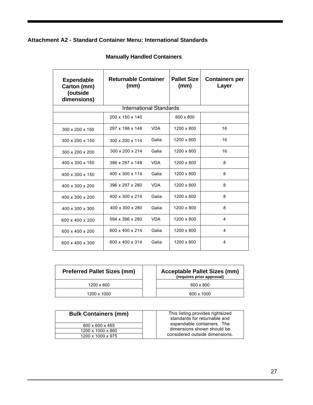# **Attachment A2 - Standard Container Menu: International Standards**

| <b>Expendable</b><br>Carton (mm)<br>(outside<br>dimensions) | <b>Returnable Container</b><br>(mm) |            | <b>Pallet Size</b><br>(mm) | <b>Containers per</b><br>Layer |
|-------------------------------------------------------------|-------------------------------------|------------|----------------------------|--------------------------------|
|                                                             | <b>International Standards</b>      |            |                            |                                |
|                                                             | 200 x 150 x 140                     |            | 600 x 800                  |                                |
| 300 x 200 x 150                                             | 297 x 198 x 148                     | <b>VDA</b> | 1200 x 800                 | 16                             |
| 300 x 200 x 150                                             | 300 x 200 x 114                     | Galia      | 1200 x 800                 | 16                             |
| $300 \times 200 \times 200$                                 | 300 x 200 x 214                     | Galia      | 1200 x 800                 | 16                             |
| 400 x 300 x 150                                             | 396 x 297 x 148                     | <b>VDA</b> | 1200 x 800                 | 8                              |
| 400 x 300 x 150                                             | 400 x 300 x 114                     | Galia      | 1200 x 800                 | 8                              |
| 400 x 300 x 200                                             | 396 x 297 x 280                     | <b>VDA</b> | 1200 x 800                 | 8                              |
| 400 x 300 x 200                                             | 400 x 300 x 214                     | Galia      | 1200 x 800                 | 8                              |
| 400 x 300 x 300                                             | 400 x 300 x 280                     | Galia      | 1200 x 800                 | 8                              |
| 600 x 400 x 200                                             | 594 x 396 x 280                     | <b>VDA</b> | 1200 x 800                 | 4                              |
| 600 x 400 x 200                                             | 600 x 400 x 214                     | Galia      | 1200 x 800                 | 4                              |
| 600 x 400 x 300                                             | 600 x 400 x 314                     | Galia      | 1200 x 800                 | $\overline{4}$                 |

# **Manually Handled Containers**

| <b>Preferred Pallet Sizes (mm)</b> | <b>Acceptable Pallet Sizes (mm)</b><br>(requires prior approval) |
|------------------------------------|------------------------------------------------------------------|
| 1200 x 800                         | 600 x 800                                                        |
| 1200 x 1000                        | 600 x 1000                                                       |

| <b>Bulk Containers (mm)</b> | This listing provides rightsized<br>standards for returnable and |
|-----------------------------|------------------------------------------------------------------|
| 800 x 600 x 465             | expendable containers. The                                       |
| 1200 x 1000 x 860           | dimensions shown should be                                       |
| 1200 x 1000 x 975           | considered outside dimensions.                                   |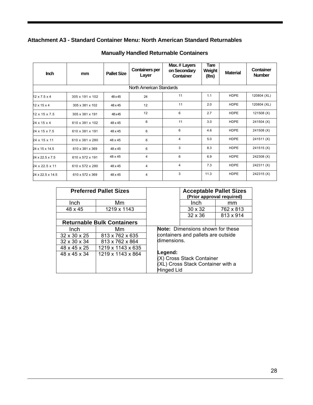# **Attachment A3 - Standard Container Menu: North American Standard Returnables**

| <b>Inch</b>              | mm              | <b>Pallet Size</b> | <b>Containers per</b><br>Layer | Max. # Layers<br>on Secondary<br>Container | <b>Tare</b><br>Weight<br>(lbs) | <b>Material</b> | Container<br><b>Number</b> |
|--------------------------|-----------------|--------------------|--------------------------------|--------------------------------------------|--------------------------------|-----------------|----------------------------|
|                          |                 |                    | North American Standards       |                                            |                                |                 |                            |
| $12 \times 7.5 \times 4$ | 305 x 191 x 102 | 48 x 45            | 24                             | 11                                         | 1.1                            | <b>HDPE</b>     | 120804 (XL)                |
| $12 \times 15 \times 4$  | 305 x 381 x 102 | 48 x 45            | 12                             | 11                                         | 2.0                            | <b>HDPE</b>     | 120804 (XL)                |
| 12 x 15 x 7.5            | 305 x 381 x 191 | 48 x 45            | 12                             | 6                                          | 2.7                            | <b>HDPE</b>     | 121508 (X)                 |
| 24 x 15 x 4              | 610 x 381 x 102 | 48 x 45            | 6                              | 11                                         | 3.0                            | <b>HDPE</b>     | 241504 (X)                 |
| 24 x 15 x 7.5            | 610 x 381 x 191 | 48 x 45            | 6                              | 6                                          | 4.6                            | <b>HDPE</b>     | 241508 (X)                 |
| 24 x 15 x 11             | 610 x 381 x 280 | 48 x 45            | 6                              | 4                                          | 5.0                            | <b>HDPE</b>     | 241511(X)                  |
| 24 x 15 x 14.5           | 610 x 381 x 369 | 48 x 45            | 6                              | 3                                          | 8.3                            | <b>HDPE</b>     | 241515(X)                  |
| 24 x 22.5 x 7.5          | 610 x 572 x 191 | 48 x 45            | 4                              | 6                                          | 6.9                            | <b>HDPE</b>     | 242308 (X)                 |
| 24 x 22.5 x 11           | 610 x 572 x 280 | 48 x 45            | $\overline{4}$                 | 4                                          | 7.3                            | <b>HDPE</b>     | 242311(X)                  |
| 24 x 22.5 x 14.5         | 610 x 572 x 369 | 48 x 45            | 4                              | 3                                          | 11.3                           | <b>HDPE</b>     | 242315(X)                  |

# **Manually Handled Returnable Containers**

|                          | <b>Preferred Pallet Sizes</b>     |                                                                                                | <b>Acceptable Pallet Sizes</b><br>(Prior approval required) |           |  |  |  |
|--------------------------|-----------------------------------|------------------------------------------------------------------------------------------------|-------------------------------------------------------------|-----------|--|--|--|
| Inch                     | Mm                                |                                                                                                | Inch                                                        | mm        |  |  |  |
| 48 x 45                  | 1219 x 1143                       |                                                                                                | $30 \times 32$                                              | 762 x 813 |  |  |  |
|                          |                                   |                                                                                                | $32 \times 36$                                              | 813 x 914 |  |  |  |
|                          | <b>Returnable Bulk Containers</b> |                                                                                                |                                                             |           |  |  |  |
| Inch                     | Mm                                | <b>Note:</b> Dimensions shown for these                                                        |                                                             |           |  |  |  |
| $32 \times 30 \times 25$ | 813 x 762 x 635                   |                                                                                                | containers and pallets are outside                          |           |  |  |  |
| $32 \times 30 \times 34$ | 813 x 762 x 864                   | dimensions.                                                                                    |                                                             |           |  |  |  |
| 48 x 45 x 25             | 1219 x 1143 x 635                 |                                                                                                |                                                             |           |  |  |  |
| 48 x 45 x 34             | 1219 x 1143 x 864                 | Legend:<br>(X) Cross Stack Container<br>(XL) Cross Stack Container with a<br><b>Hinged Lid</b> |                                                             |           |  |  |  |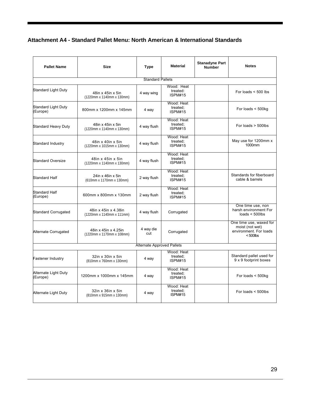# **Attachment A4 - Standard Pallet Menu: North American & International Standards**

| <b>Pallet Name</b>               | <b>Size</b>                                       | Type                              | <b>Material</b>                          | <b>Stanadyne Part</b><br><b>Number</b> | <b>Notes</b>                                                                        |
|----------------------------------|---------------------------------------------------|-----------------------------------|------------------------------------------|----------------------------------------|-------------------------------------------------------------------------------------|
|                                  |                                                   | <b>Standard Pallets</b>           |                                          |                                        |                                                                                     |
| Standard Light Duty              | 48in x 45in x 5in<br>(1220mm x 1140mm x 130mm)    | 4 way wing                        | Wood: Heat<br>treated:<br><b>ISPM#15</b> |                                        | For loads $<$ 500 lbs                                                               |
| Standard Light Duty<br>(Europe)  | 800mm x 1200mm x 145mm                            | 4 way                             | Wood: Heat<br>treated:<br><b>ISPM#15</b> |                                        | For loads < 500kg                                                                   |
| Standard Heavy Duty              | 48in x 45in x 5in<br>(1220mm x 1140mm x 130mm)    | 4 way flush                       | Wood: Heat<br>treated;<br><b>ISPM#15</b> |                                        | For loads $>$ 500lbs                                                                |
| Standard Industry                | 48in x 40in x 5in<br>(1220mm x 1015mm x 130mm)    | 4 way flush                       | Wood: Heat<br>treated;<br><b>ISPM#15</b> |                                        | May use for 1200mm x<br>1000mm                                                      |
| <b>Standard Oversize</b>         | 48in x 45in x 5in<br>(1220mm x 1140mm x 130mm)    | 4 way flush                       | Wood: Heat<br>treated:<br><b>ISPM#15</b> |                                        |                                                                                     |
| <b>Standard Half</b>             | 24in x 46in x 5in<br>(610mm x 1170mm x 130mm)     | 2 way flush                       | Wood: Heat<br>treated:<br><b>ISPM#15</b> |                                        | Standards for fiberboard<br>cable & barrels                                         |
| Standard Half<br>(Europe)        | 600mm x 800mm x 130mm                             | 2 way flush                       | Wood: Heat<br>treated:<br><b>ISPM#15</b> |                                        |                                                                                     |
| <b>Standard Corrugated</b>       | 48in x 45in x 4.38in<br>(1220mm x 1140mm x 111mm) | 4 way flush                       | Corrugated                               |                                        | One time use, non<br>harsh environment For<br>loads $<$ 500lbs                      |
| Alternate Corrugated             | 48in x 45in x 4.25in<br>(1220mm x 1170mm x 108mm) | 4 way die<br>cut                  | Corrugated                               |                                        | One time use, waxed for<br>moist (not wet)<br>environment. For loads<br>$< 500$ lbs |
|                                  |                                                   | <b>Alternate Approved Pallets</b> |                                          |                                        |                                                                                     |
| Fastener Industry                | 32in x 30in x 5in<br>(810mm x 760mm x 130mm)      | 4 way                             | Wood: Heat<br>treated;<br><b>ISPM#15</b> |                                        | Standard pallet used for<br>9 x 9 footprint boxes                                   |
| Alternate Light Duty<br>(Europe) | 1200mm x 1000mm x 145mm                           | 4 way                             | Wood: Heat<br>treated:<br><b>ISPM#15</b> |                                        | For loads $<$ 500 $kg$                                                              |
| Alternate Light Duty             | 32in x 36in x 5in<br>(810mm x 915mm x 130mm)      | 4 way                             | Wood: Heat<br>treated:<br><b>ISPM#15</b> |                                        | For loads $<$ 500lbs                                                                |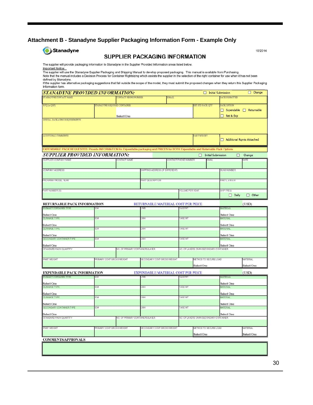# **Attachment B - Stanadyne Supplier Packaging Information Form - Example Only**

| <b>G</b> Stanadyne |  |  |
|--------------------|--|--|
|                    |  |  |

#### SUPPLIER PACKAGING INFORMATION

10/2014

# The supplier will provide packaging information to Stanadyne in the Supplier Provided Information areas listed below.

Important Notice:<br>The supplier will use the Stanadyne Supplier Packaging and Shipping Manual to develop proposed packaging. This manual is available from Purchasing.<br>Note that the manual includes a Decision Process for Con

the supplier has alternative packaging suggestions that fall outside the scope of the model, they must submit the proposed changes when they return this Supplier Packaging<br>If the supplier has alternative packaging suggesti

Information form.

| <b>STANADYNE PROVIDED INFORMATION:</b>                                                                                            |                           |                               |                                           |               |                      |                         | Initial Submission                      |                               | $\Box$ Change              |
|-----------------------------------------------------------------------------------------------------------------------------------|---------------------------|-------------------------------|-------------------------------------------|---------------|----------------------|-------------------------|-----------------------------------------|-------------------------------|----------------------------|
| STANADYNE CONTACT NAME                                                                                                            |                           | CONTACT PRONE NUMBER          |                                           | <b>B-MAIL</b> |                      |                         |                                         | DATE SUBMITTED                |                            |
| RFQ (or QRF)                                                                                                                      |                           | STANAD YNE REQUIRED CONTAINER |                                           |               |                      | <b>BST STD PACK QTY</b> |                                         | PACK OPTION                   |                            |
|                                                                                                                                   |                           |                               |                                           |               |                      |                         |                                         |                               | Expendable Returnable      |
|                                                                                                                                   |                           |                               |                                           |               |                      |                         |                                         |                               |                            |
| SPECIAL PACKAGING REQUIREMENTS                                                                                                    |                           | Select One                    |                                           |               |                      |                         |                                         | Ret & Exp                     |                            |
|                                                                                                                                   |                           |                               |                                           |               |                      |                         |                                         |                               |                            |
| ADDITIONAL COMMENTS                                                                                                               |                           |                               |                                           |               |                      | PART WEIGHT             |                                         |                               | Additional Rqmts Atttached |
|                                                                                                                                   |                           |                               |                                           |               |                      |                         |                                         |                               |                            |
| XPENDABLE PACK REQUESTED: Provide INFORMATION for Expendable packaging and PRICES for BOTH Expendable and Returnable Pack Options |                           |                               |                                           |               |                      |                         |                                         |                               |                            |
| <b>SUPPLIER PROVIDED INFORMATION:</b>                                                                                             |                           |                               |                                           |               |                      |                         | Initial Submission                      |                               | Π<br>Change                |
| UPPLIER COMPANY NAME                                                                                                              |                           | CONTACT NAME                  |                                           |               | CONTACT PHONE NUMBER |                         | EMAIL                                   |                               | DATE                       |
| COMPANY ADDRESS                                                                                                                   |                           |                               | SHIPPING ADDRESS (IF DIFFERENT)           |               |                      |                         |                                         | DUNS NUMBER                   |                            |
|                                                                                                                                   |                           |                               |                                           |               |                      |                         |                                         |                               |                            |
| <b>PROGRAM / MODEL YEAR</b>                                                                                                       |                           |                               | PART DESCRIPTION                          |               |                      |                         |                                         | PARTLXWXH                     |                            |
|                                                                                                                                   |                           |                               |                                           |               |                      |                         |                                         |                               |                            |
| ART NUMBER (S)                                                                                                                    |                           |                               |                                           |               | VOLUME PER YEAR      |                         |                                         | SHIP FREQ                     |                            |
|                                                                                                                                   |                           |                               |                                           |               |                      |                         |                                         | $\Box$ Daily                  | $\Box$ Other               |
| <b>RETURNABLE PACK INFORMATION</b>                                                                                                |                           |                               | RETURNABLE MATERIAL COST PER PIECE        |               |                      |                         |                                         |                               | (USD)                      |
| PRIMARY CONTAINER TYPE                                                                                                            | ID #                      |                               | .WH                                       |               | <b>TAREWT</b>        |                         |                                         | <b>MATERIAL</b>               |                            |
| Select One                                                                                                                        |                           |                               |                                           |               |                      |                         |                                         | Select One                    |                            |
| <b>DUNNAGE TYPE</b>                                                                                                               | ID #                      |                               | LWH                                       |               | TARE WT              |                         |                                         | <b>MATERIAL</b>               |                            |
|                                                                                                                                   |                           |                               |                                           |               |                      |                         |                                         |                               |                            |
| Select One<br>DUNNAGE TYPE                                                                                                        | ID#                       |                               | LWH                                       |               | <b>TARE WT</b>       |                         |                                         | Select One<br><b>MATERIAL</b> |                            |
|                                                                                                                                   |                           |                               |                                           |               |                      |                         |                                         |                               |                            |
| Select One                                                                                                                        |                           |                               |                                           |               |                      |                         |                                         | Select One                    |                            |
| SECONDARY CONTAINER TYPE                                                                                                          | ID #                      |                               | LWH                                       |               | TARE WT              |                         |                                         | MATERIAL                      |                            |
| Select One                                                                                                                        |                           |                               |                                           |               |                      |                         |                                         | Select One                    |                            |
| STANDARD PACK QUANTITY                                                                                                            |                           |                               | NO. OF PRIMARY CONTAINERS/LAYER           |               |                      |                         | NO. OF LAYERS ON/IN SECONDARY CONTAINER |                               |                            |
| PART WEIGHT                                                                                                                       | PRIMARY CONT GROSS WEIGHT |                               | SECONDARY CONT GROSS WEIGHT               |               |                      |                         | METHOD TO SECURE LOAD                   |                               | MATERIAL                   |
|                                                                                                                                   |                           |                               |                                           |               |                      |                         |                                         |                               |                            |
|                                                                                                                                   |                           |                               |                                           |               |                      | Select One              |                                         |                               | Select One                 |
| <b>EXPENDABLE PACK INFORMATION</b>                                                                                                |                           |                               | <b>EXPENDABLE MATERIAL COST PER PIECE</b> |               |                      |                         |                                         |                               | (USD)                      |
| PRIMARY CONTAINER TYPE                                                                                                            | IDM                       |                               | LWB                                       |               | TARE WT              |                         |                                         | <b>MATERIAL</b>               |                            |
| Select One                                                                                                                        |                           |                               |                                           |               |                      |                         |                                         | Select One                    |                            |
| <b>DUNNAGE TYPE</b>                                                                                                               | ID#                       |                               | LWH                                       |               | TARE WT              |                         |                                         | <b>MATERIAL</b>               |                            |
|                                                                                                                                   |                           |                               |                                           |               |                      |                         |                                         |                               |                            |
| Select One<br>DUNNAGE TYPE                                                                                                        | ID#                       |                               | LWH                                       |               | TARE WT              |                         |                                         | Select One<br><b>MATERIAL</b> |                            |
|                                                                                                                                   |                           |                               |                                           |               |                      |                         |                                         |                               |                            |
| Select One                                                                                                                        |                           |                               |                                           |               |                      |                         |                                         | Select One                    |                            |
| SECONDARY CONTAINER TYPE                                                                                                          | D#                        |                               | LWH                                       |               | TARE WT              |                         |                                         | MATERIAL                      |                            |
|                                                                                                                                   |                           |                               |                                           |               |                      |                         |                                         | Select One                    |                            |
|                                                                                                                                   |                           |                               | NO. OF PRIMARY CONTAINERS/LAYER           |               |                      |                         | NO. OF LAYERS ON/IN SECONDARY CONTAINER |                               |                            |
|                                                                                                                                   |                           |                               |                                           |               |                      |                         |                                         |                               |                            |
|                                                                                                                                   |                           |                               |                                           |               |                      |                         |                                         |                               |                            |
|                                                                                                                                   | PRIMARY CONT GROSS WEIGHT |                               | SECONDARY CONT GROSS WEIGHT               |               |                      |                         | METHOD TO SECURE LOAD                   |                               | <b>MATERIAL</b>            |
| Select One<br>STANDARD PACK QUANTITY<br>PART WEIGHT                                                                               |                           |                               |                                           |               |                      | Select One              |                                         |                               | Select One                 |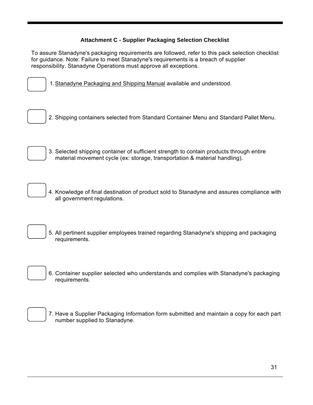# **Attachment C - Supplier Packaging Selection Checklist**

To assure Stanadyne's packaging requirements are followed, refer to this pack selection checklist for guidance. Note: Failure to meet Stanadyne's requirements is a breach of supplier responsibility. Stanadyne Operations must approve all exceptions.



1. Stanadyne Packaging and Shipping Manual available and understood.

2. Shipping containers selected from Standard Container Menu and Standard Pallet Menu.



3. Selected shipping container of sufficient strength to contain products through entire material movement cycle (ex: storage, transportation & material handling).

4. Knowledge of final destination of product sold to Stanadyne and assures compliance with all government regulations.

5. All pertinent supplier employees trained regarding Stanadyne's shipping and packaging requirements.

6. Container supplier selected who understands and complies with Stanadyne's packaging requirements.



7. Have a Supplier Packaging Information form submitted and maintain a copy for each part number supplied to Stanadyne.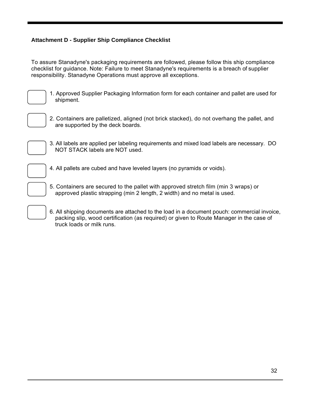# **Attachment D - Supplier Ship Compliance Checklist**

To assure Stanadyne's packaging requirements are followed, please follow this ship compliance checklist for guidance. Note: Failure to meet Stanadyne's requirements is a breach of supplier responsibility. Stanadyne Operations must approve all exceptions.



1. Approved Supplier Packaging Information form for each container and pallet are used for shipment.



2. Containers are palletized, aligned (not brick stacked), do not overhang the pallet, and are supported by the deck boards.



3. All labels are applied per labeling requirements and mixed load labels are necessary. DO NOT STACK labels are NOT used.



4. All pallets are cubed and have leveled layers (no pyramids or voids).

5. Containers are secured to the pallet with approved stretch film (min 3 wraps) or approved plastic strapping (min 2 length, 2 width) and no metal is used.

6. All shipping documents are attached to the load in a document pouch: commercial invoice, packing slip, wood certification (as required) or given to Route Manager in the case of truck loads or milk runs.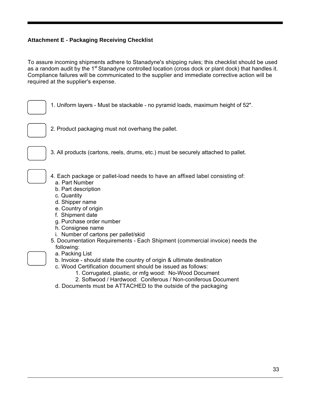### **Attachment E - Packaging Receiving Checklist**

To assure incoming shipments adhere to Stanadyne's shipping rules; this checklist should be used as a random audit by the 1<sup>st</sup> Stanadyne controlled location (cross dock or plant dock) that handles it. Compliance failures will be communicated to the supplier and immediate corrective action will be required at the supplier's expense.

1. Uniform layers - Must be stackable - no pyramid loads, maximum height of 52".

2. Product packaging must not overhang the pallet.



3. All products (cartons, reels, drums, etc.) must be securely attached to pallet.

4. Each package or pallet-load needs to have an affixed label consisting of: a. Part Number

- b. Part description
- c. Quantity
- d. Shipper name
- e. Country of origin
- f. Shipment date
- g. Purchase order number
- h. Consignee name
- i. Number of cartons per pallet/skid
- 5. Documentation Requirements Each Shipment (commercial invoice) needs the following:
	- a. Packing List
	- b. Invoice should state the country of origin & ultimate destination
	- c. Wood Certification document should be issued as follows:
		- 1. Corrugated, plastic, or mfg wood: No-Wood Document
		- 2. Softwood / Hardwood: Coniferous / Non-coniferous Document
	- d. Documents must be ATTACHED to the outside of the packaging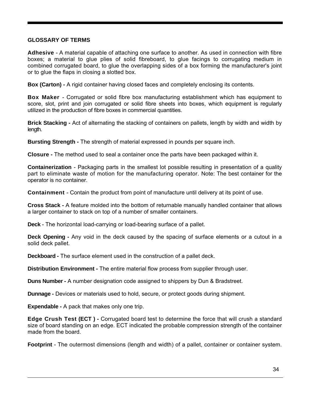#### **GLOSSARY OF TERMS**

**Adhesive** - A material capable of attaching one surface to another. As used in connection with fibre boxes; a material to glue plies of solid fibreboard, to glue facings to corrugating medium in combined corrugated board, to glue the overlapping sides of a box forming the manufacturer's joint or to glue the flaps in closing a slotted box.

**Box (Carton) -** A rigid container having closed faces and completely enclosing its contents.

**Box Maker** - Corrugated or solid fibre box manufacturing establishment which has equipment to score, slot, print and join corrugated or solid fibre sheets into boxes, which equipment is regularly utilized in the production of fibre boxes in commercial quantities.

**Brick Stacking -** Act of alternating the stacking of containers on pallets, length by width and width by length.

**Bursting Strength -** The strength of material expressed in pounds per square inch.

**Closure -** The method used to seal a container once the parts have been packaged within it.

**Containerization** - Packaging parts in the smallest lot possible resulting in presentation of a quality part to eliminate waste of motion for the manufacturing operator. Note: The best container for the operator is no container.

**Containment** - Contain the product from point of manufacture until delivery at its point of use.

**Cross Stack -** A feature molded into the bottom of returnable manually handled container that allows a larger container to stack on top of a number of smaller containers.

**Deck** - The horizontal load-carrying or load-bearing surface of a pallet.

**Deck Opening -** Any void in the deck caused by the spacing of surface elements or a cutout in a solid deck pallet.

**Deckboard -** The surface element used in the construction of a pallet deck.

**Distribution Environment -** The entire material flow process from supplier through user.

**Duns Number -** A number designation code assigned to shippers by Dun & Bradstreet.

**Dunnage -** Devices or materials used to hold, secure, or protect goods during shipment.

**Expendable -** A pack that makes only one trip.

**Edge Crush Test (ECT ) -** Corrugated board test to determine the force that will crush a standard size of board standing on an edge. ECT indicated the probable compression strength of the container made from the board.

**Footprint** - The outermost dimensions (length and width) of a pallet, container or container system.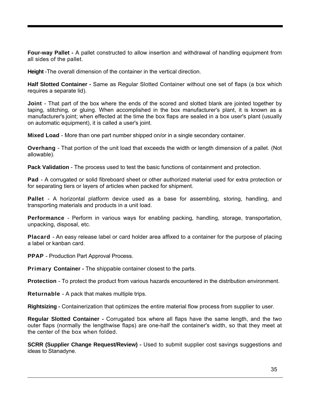**Four-way Pallet -** A pallet constructed to allow insertion and withdrawal of handling equipment from all sides of the pallet.

**Height** -The overall dimension of the container in the vertical direction.

**Half Slotted Container -** Same as Regular Slotted Container without one set of flaps (a box which requires a separate lid).

**Joint** - That part of the box where the ends of the scored and slotted blank are jointed together by taping, stitching, or gluing. When accomplished in the box manufacturer's plant, it is known as a manufacturer's joint; when effected at the time the box flaps are sealed in a box user's plant (usually on automatic equipment), it is called a user's joint.

**Mixed Load** - More than one part number shipped on/or in a single secondary container.

**Overhang** - That portion of the unit load that exceeds the width or length dimension of a pallet. (Not allowable).

**Pack Validation** - The process used to test the basic functions of containment and protection.

**Pad** - A corrugated or solid fibreboard sheet or other authorized material used for extra protection or for separating tiers or layers of articles when packed for shipment.

**Pallet** - A horizontal platform device used as a base for assembling, storing, handling, and transporting materials and products in a unit load.

**Performance** - Perform in various ways for enabling packing, handling, storage, transportation, unpacking, disposal, etc.

**Placard** - An easy release label or card holder area affixed to a container for the purpose of placing a label or kanban card.

**PPAP** - Production Part Approval Process.

**Primary Container - The shippable container closest to the parts.** 

**Protection** - To protect the product from various hazards encountered in the distribution environment.

**Returnable** - A pack that makes multiple trips.

**Rightsizing -** Containerization that optimizes the entire material flow process from supplier to user.

**Regular Slotted Container -** Corrugated box where all flaps have the same length, and the two outer flaps (normally the lengthwise flaps) are one-half the container's width, so that they meet at the center of the box when folded.

**SCRR (Supplier Change Request/Review) -** Used to submit supplier cost savings suggestions and ideas to Stanadyne.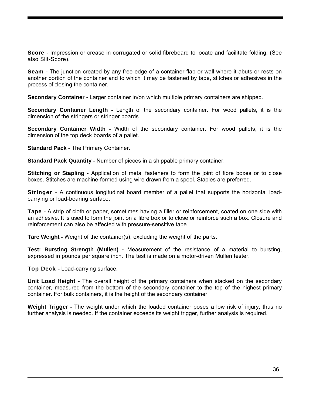**Score** - Impression or crease in corrugated or solid fibreboard to locate and facilitate folding. (See also Slit-Score).

**Seam** - The junction created by any free edge of a container flap or wall where it abuts or rests on another portion of the container and to which it may be fastened by tape, stitches or adhesives in the process of closing the container.

**Secondary Container -** Larger container in/on which multiple primary containers are shipped.

**Secondary Container Length -** Length of the secondary container. For wood pallets, it is the dimension of the stringers or stringer boards.

**Secondary Container Width -** Width of the secondary container. For wood pallets, it is the dimension of the top deck boards of a pallet.

**Standard Pack** - The Primary Container.

**Standard Pack Quantity -** Number of pieces in a shippable primary container.

**Stitching or Stapling -** Application of metal fasteners to form the joint of fibre boxes or to close boxes. Stitches are machine-formed using wire drawn from a spool. Staples are preferred.

**Stringer** - A continuous longitudinal board member of a pallet that supports the horizontal loadcarrying or load-bearing surface.

**Tape** - A strip of cloth or paper, sometimes having a filler or reinforcement, coated on one side with an adhesive. It is used to form the joint on a fibre box or to close or reinforce such a box. Closure and reinforcement can also be affected with pressure-sensitive tape.

**Tare Weight -** Weight of the container(s), excluding the weight of the parts.

**Test: Bursting Strength (Mullen) -** Measurement of the resistance of a material to bursting, expressed in pounds per square inch. The test is made on a motor-driven Mullen tester.

**Top Deck -** Load-carrying surface.

**Unit Load Height -** The overall height of the primary containers when stacked on the secondary container, measured from the bottom of the secondary container to the top of the highest primary container. For bulk containers, it is the height of the secondary container.

**Weight Trigger -** The weight under which the loaded container poses a low risk of injury, thus no further analysis is needed. If the container exceeds its weight trigger, further analysis is required.